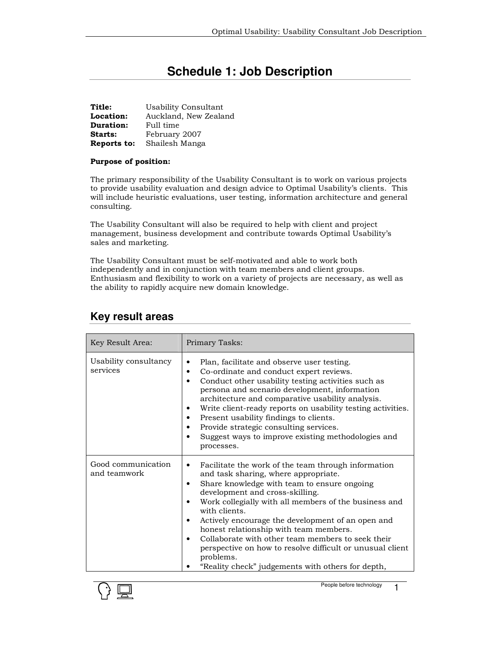# **Schedule 1: Job Description**

| Title:         | Usability Consultant  |
|----------------|-----------------------|
| Location:      | Auckland, New Zealand |
| Duration:      | Full time             |
| <b>Starts:</b> | February 2007         |
| Reports to:    | Shailesh Manga        |

#### Purpose of position:

The primary responsibility of the Usability Consultant is to work on various projects to provide usability evaluation and design advice to Optimal Usability's clients. This will include heuristic evaluations, user testing, information architecture and general consulting.

The Usability Consultant will also be required to help with client and project management, business development and contribute towards Optimal Usability's sales and marketing.

The Usability Consultant must be self-motivated and able to work both independently and in conjunction with team members and client groups. Enthusiasm and flexibility to work on a variety of projects are necessary, as well as the ability to rapidly acquire new domain knowledge.

| Key Result Area:                   | Primary Tasks:                                                                                                                                                                                                                                                                                                                                                                                                                                                                                                                                                 |
|------------------------------------|----------------------------------------------------------------------------------------------------------------------------------------------------------------------------------------------------------------------------------------------------------------------------------------------------------------------------------------------------------------------------------------------------------------------------------------------------------------------------------------------------------------------------------------------------------------|
| Usability consultancy<br>services  | Plan, facilitate and observe user testing.<br>٠<br>Co-ordinate and conduct expert reviews.<br>٠<br>Conduct other usability testing activities such as<br>٠<br>persona and scenario development, information<br>architecture and comparative usability analysis.<br>Write client-ready reports on usability testing activities.<br>٠<br>Present usability findings to clients.<br>٠<br>Provide strategic consulting services.<br>٠<br>Suggest ways to improve existing methodologies and<br>processes.                                                          |
| Good communication<br>and teamwork | Facilitate the work of the team through information<br>٠<br>and task sharing, where appropriate.<br>Share knowledge with team to ensure ongoing<br>٠<br>development and cross-skilling.<br>Work collegially with all members of the business and<br>٠<br>with clients.<br>Actively encourage the development of an open and<br>٠<br>honest relationship with team members.<br>Collaborate with other team members to seek their<br>perspective on how to resolve difficult or unusual client<br>problems.<br>"Reality check" judgements with others for depth, |

### **Key result areas**

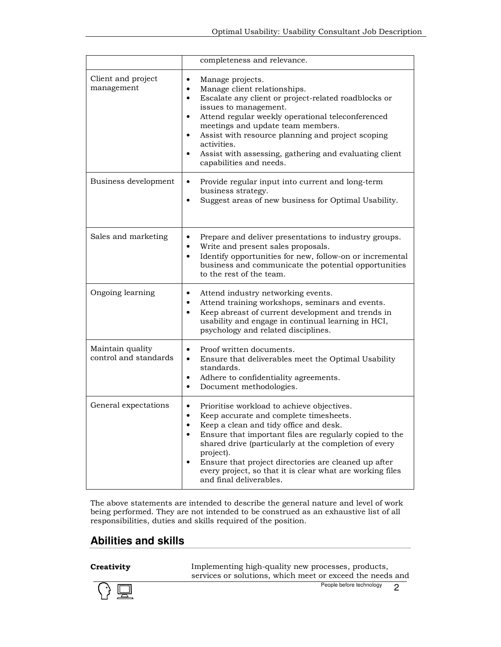|                                           | completeness and relevance.                                                                                                                                                                                                                                                                                                                                                                                                        |
|-------------------------------------------|------------------------------------------------------------------------------------------------------------------------------------------------------------------------------------------------------------------------------------------------------------------------------------------------------------------------------------------------------------------------------------------------------------------------------------|
| Client and project<br>management          | Manage projects.<br>٠<br>Manage client relationships.<br>$\bullet$<br>Escalate any client or project-related roadblocks or<br>٠<br>issues to management.<br>Attend regular weekly operational teleconferenced<br>٠<br>meetings and update team members.<br>Assist with resource planning and project scoping<br>$\bullet$<br>activities.<br>Assist with assessing, gathering and evaluating client<br>٠<br>capabilities and needs. |
| Business development                      | Provide regular input into current and long-term<br>$\bullet$<br>business strategy.<br>Suggest areas of new business for Optimal Usability.                                                                                                                                                                                                                                                                                        |
| Sales and marketing                       | Prepare and deliver presentations to industry groups.<br>٠<br>Write and present sales proposals.<br>٠<br>Identify opportunities for new, follow-on or incremental<br>٠<br>business and communicate the potential opportunities<br>to the rest of the team.                                                                                                                                                                         |
| Ongoing learning                          | Attend industry networking events.<br>٠<br>Attend training workshops, seminars and events.<br>٠<br>Keep abreast of current development and trends in<br>$\bullet$<br>usability and engage in continual learning in HCI,<br>psychology and related disciplines.                                                                                                                                                                     |
| Maintain quality<br>control and standards | Proof written documents.<br>$\bullet$<br>Ensure that deliverables meet the Optimal Usability<br>$\bullet$<br>standards.<br>Adhere to confidentiality agreements.<br>٠<br>Document methodologies.<br>٠                                                                                                                                                                                                                              |
| General expectations                      | Prioritise workload to achieve objectives.<br>Keep accurate and complete timesheets.<br>$\bullet$<br>Keep a clean and tidy office and desk.<br>Ensure that important files are regularly copied to the<br>shared drive (particularly at the completion of every<br>project).<br>Ensure that project directories are cleaned up after<br>٠<br>every project, so that it is clear what are working files<br>and final deliverables.  |

The above statements are intended to describe the general nature and level of work being performed. They are not intended to be construed as an exhaustive list of all responsibilities, duties and skills required of the position.

# **Abilities and skills**

**Creativity** Implementing high-quality new processes, products, services or solutions, which meet or exceed the needs and